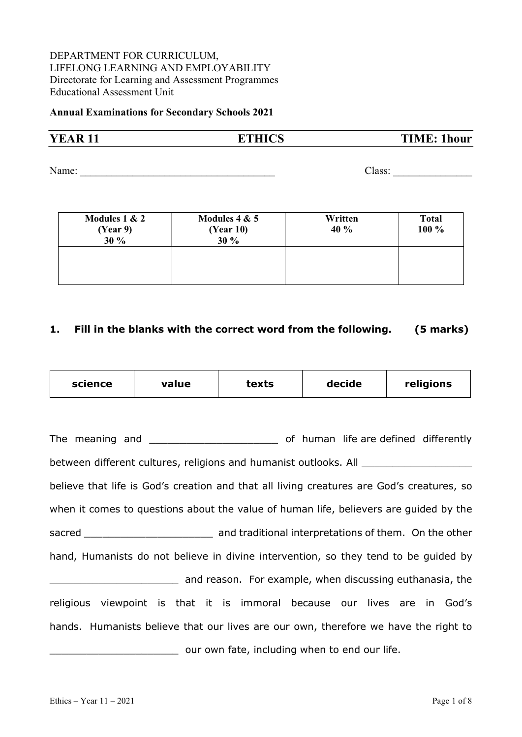#### DEPARTMENT FOR CURRICULUM, LIFELONG LEARNING AND EMPLOYABILITY Directorate for Learning and Assessment Programmes Educational Assessment Unit

#### Annual Examinations for Secondary Schools 2021

# **YEAR 11** ETHICS TIME: 1hour

Name: \_\_\_\_\_\_\_\_\_\_\_\_\_\_\_\_\_\_\_\_\_\_\_\_\_\_\_\_\_\_\_\_\_\_\_\_\_ Class: \_\_\_\_\_\_\_\_\_\_\_\_\_\_\_

| Modules $1 & 2$<br>(Year 9)<br>30 % | Modules $4 & 5$<br>(Year 10)<br>30 % | Written<br>40 % | <b>Total</b><br>100 % |
|-------------------------------------|--------------------------------------|-----------------|-----------------------|
|                                     |                                      |                 |                       |

#### 1. Fill in the blanks with the correct word from the following. (5 marks)

| science | value | texts | decide | religions |
|---------|-------|-------|--------|-----------|
|---------|-------|-------|--------|-----------|

| between different cultures, religions and humanist outlooks. All                          |                                                          |
|-------------------------------------------------------------------------------------------|----------------------------------------------------------|
| believe that life is God's creation and that all living creatures are God's creatures, so |                                                          |
| when it comes to questions about the value of human life, believers are guided by the     |                                                          |
|                                                                                           |                                                          |
| hand, Humanists do not believe in divine intervention, so they tend to be quided by       |                                                          |
|                                                                                           | and reason. For example, when discussing euthanasia, the |
| religious viewpoint is that it is immoral because our lives are in God's                  |                                                          |
| hands. Humanists believe that our lives are our own, therefore we have the right to       |                                                          |
|                                                                                           | our own fate, including when to end our life.            |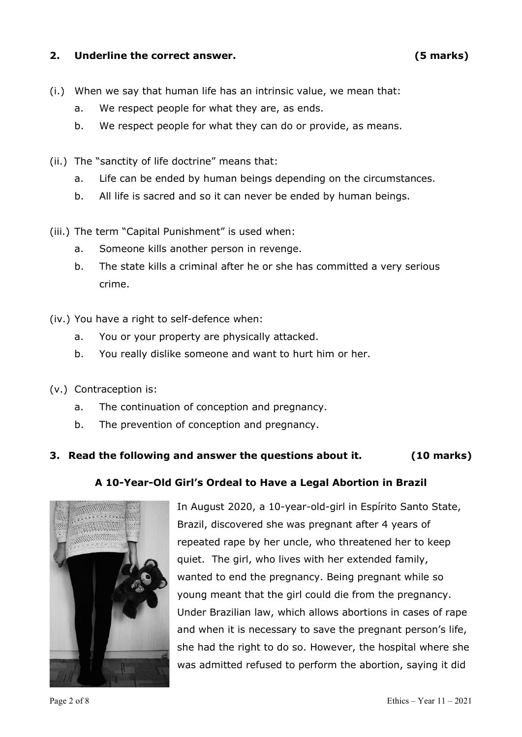#### 2. Underline the correct answer. (5 marks)

- (i.) When we say that human life has an intrinsic value, we mean that:
	- a. We respect people for what they are, as ends.
	- b. We respect people for what they can do or provide, as means.
- (ii.) The "sanctity of life doctrine" means that:
	- a. Life can be ended by human beings depending on the circumstances.
	- b. All life is sacred and so it can never be ended by human beings.
- (iii.) The term "Capital Punishment" is used when:
	- a. Someone kills another person in revenge.
	- b. The state kills a criminal after he or she has committed a very serious crime.
- (iv.) You have a right to self-defence when:
	- a. You or your property are physically attacked.
	- b. You really dislike someone and want to hurt him or her.
- (v.) Contraception is:
	- a. The continuation of conception and pregnancy.
	- b. The prevention of conception and pregnancy.

## 3. Read the following and answer the questions about it. (10 marks)

## A 10-Year-Old Girl's Ordeal to Have a Legal Abortion in Brazil



In August 2020, a 10-year-old-girl in Espírito Santo State, Brazil, discovered she was pregnant after 4 years of repeated rape by her uncle, who threatened her to keep quiet. The girl, who lives with her extended family, wanted to end the pregnancy. Being pregnant while so young meant that the girl could die from the pregnancy. Under Brazilian law, which allows abortions in cases of rape and when it is necessary to save the pregnant person's life, she had the right to do so. However, the hospital where she was admitted refused to perform the abortion, saying it did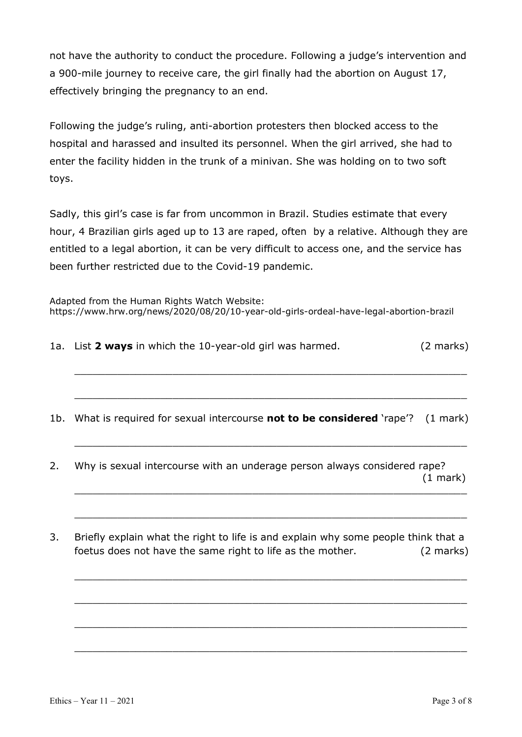not have the authority to conduct the procedure. Following a judge's intervention and a 900-mile journey to receive care, the girl finally had the abortion on August 17, effectively bringing the pregnancy to an end.

Following the judge's ruling, anti-abortion protesters then blocked access to the hospital and harassed and insulted its personnel. When the girl arrived, she had to enter the facility hidden in the trunk of a minivan. She was holding on to two soft toys.

Sadly, this girl's case is far from uncommon in Brazil. Studies estimate that every hour, 4 Brazilian girls aged up to 13 are raped, often by a relative. Although they are entitled to a legal abortion, it can be very difficult to access one, and the service has been further restricted due to the Covid-19 pandemic.

Adapted from the Human Rights Watch Website: https://www.hrw.org/news/2020/08/20/10-year-old-girls-ordeal-have-legal-abortion-brazil

1a. List 2 ways in which the 10-year-old girl was harmed. (2 marks)

 $\_$  , and the contribution of the contribution of  $\mathcal{L}_\mathcal{A}$  , and the contribution of  $\mathcal{L}_\mathcal{A}$ 

\_\_\_\_\_\_\_\_\_\_\_\_\_\_\_\_\_\_\_\_\_\_\_\_\_\_\_\_\_\_\_\_\_\_\_\_\_\_\_\_\_\_\_\_\_\_\_\_\_\_\_\_\_\_\_\_\_\_\_\_\_\_\_\_

\_\_\_\_\_\_\_\_\_\_\_\_\_\_\_\_\_\_\_\_\_\_\_\_\_\_\_\_\_\_\_\_\_\_\_\_\_\_\_\_\_\_\_\_\_\_\_\_\_\_\_\_\_\_\_\_\_\_\_\_\_\_\_\_

\_\_\_\_\_\_\_\_\_\_\_\_\_\_\_\_\_\_\_\_\_\_\_\_\_\_\_\_\_\_\_\_\_\_\_\_\_\_\_\_\_\_\_\_\_\_\_\_\_\_\_\_\_\_\_\_\_\_\_\_\_\_\_\_

\_\_\_\_\_\_\_\_\_\_\_\_\_\_\_\_\_\_\_\_\_\_\_\_\_\_\_\_\_\_\_\_\_\_\_\_\_\_\_\_\_\_\_\_\_\_\_\_\_\_\_\_\_\_\_\_\_\_\_\_\_\_\_\_

\_\_\_\_\_\_\_\_\_\_\_\_\_\_\_\_\_\_\_\_\_\_\_\_\_\_\_\_\_\_\_\_\_\_\_\_\_\_\_\_\_\_\_\_\_\_\_\_\_\_\_\_\_\_\_\_\_\_\_\_\_\_\_\_

\_\_\_\_\_\_\_\_\_\_\_\_\_\_\_\_\_\_\_\_\_\_\_\_\_\_\_\_\_\_\_\_\_\_\_\_\_\_\_\_\_\_\_\_\_\_\_\_\_\_\_\_\_\_\_\_\_\_\_\_\_\_\_\_

\_\_\_\_\_\_\_\_\_\_\_\_\_\_\_\_\_\_\_\_\_\_\_\_\_\_\_\_\_\_\_\_\_\_\_\_\_\_\_\_\_\_\_\_\_\_\_\_\_\_\_\_\_\_\_\_\_\_\_\_\_\_\_\_

1b. What is required for sexual intercourse not to be considered 'rape'? (1 mark)

- 2. Why is sexual intercourse with an underage person always considered rape? (1 mark) \_\_\_\_\_\_\_\_\_\_\_\_\_\_\_\_\_\_\_\_\_\_\_\_\_\_\_\_\_\_\_\_\_\_\_\_\_\_\_\_\_\_\_\_\_\_\_\_\_\_\_\_\_\_\_\_\_\_\_\_\_\_\_\_
- 3. Briefly explain what the right to life is and explain why some people think that a foetus does not have the same right to life as the mother. (2 marks)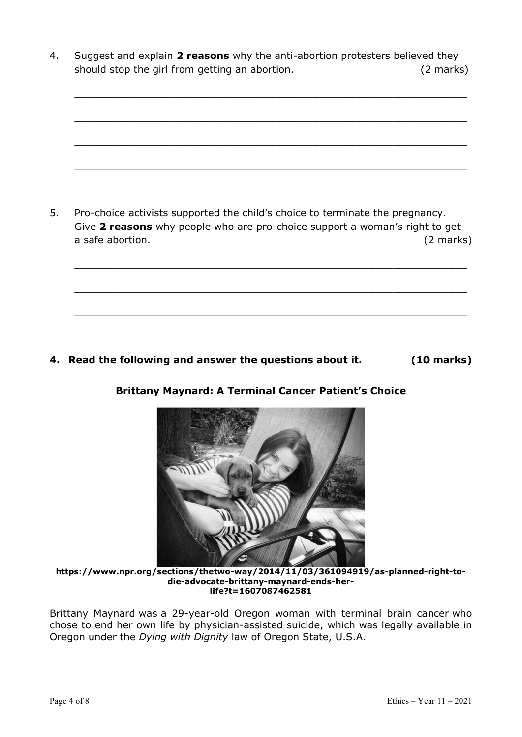4. Suggest and explain 2 reasons why the anti-abortion protesters believed they should stop the girl from getting an abortion. (2 marks)

\_\_\_\_\_\_\_\_\_\_\_\_\_\_\_\_\_\_\_\_\_\_\_\_\_\_\_\_\_\_\_\_\_\_\_\_\_\_\_\_\_\_\_\_\_\_\_\_\_\_\_\_\_\_\_\_\_\_\_\_\_\_\_\_

\_\_\_\_\_\_\_\_\_\_\_\_\_\_\_\_\_\_\_\_\_\_\_\_\_\_\_\_\_\_\_\_\_\_\_\_\_\_\_\_\_\_\_\_\_\_\_\_\_\_\_\_\_\_\_\_\_\_\_\_\_\_\_\_

\_\_\_\_\_\_\_\_\_\_\_\_\_\_\_\_\_\_\_\_\_\_\_\_\_\_\_\_\_\_\_\_\_\_\_\_\_\_\_\_\_\_\_\_\_\_\_\_\_\_\_\_\_\_\_\_\_\_\_\_\_\_\_\_



\_\_\_\_\_\_\_\_\_\_\_\_\_\_\_\_\_\_\_\_\_\_\_\_\_\_\_\_\_\_\_\_\_\_\_\_\_\_\_\_\_\_\_\_\_\_\_\_\_\_\_\_\_\_\_\_\_\_\_\_\_\_\_\_

\_\_\_\_\_\_\_\_\_\_\_\_\_\_\_\_\_\_\_\_\_\_\_\_\_\_\_\_\_\_\_\_\_\_\_\_\_\_\_\_\_\_\_\_\_\_\_\_\_\_\_\_\_\_\_\_\_\_\_\_\_\_\_\_

\_\_\_\_\_\_\_\_\_\_\_\_\_\_\_\_\_\_\_\_\_\_\_\_\_\_\_\_\_\_\_\_\_\_\_\_\_\_\_\_\_\_\_\_\_\_\_\_\_\_\_\_\_\_\_\_\_\_\_\_\_\_\_\_

\_\_\_\_\_\_\_\_\_\_\_\_\_\_\_\_\_\_\_\_\_\_\_\_\_\_\_\_\_\_\_\_\_\_\_\_\_\_\_\_\_\_\_\_\_\_\_\_\_\_\_\_\_\_\_\_\_\_\_\_\_\_\_\_

4. Read the following and answer the questions about it. (10 marks)

#### Brittany Maynard: A Terminal Cancer Patient's Choice



https://www.npr.org/sections/thetwo-way/2014/11/03/361094919/as-planned-right-todie-advocate-brittany-maynard-ends-herlife?t=1607087462581

Brittany Maynard was a 29-year-old Oregon woman with terminal brain cancer who chose to end her own life by physician-assisted suicide, which was legally available in Oregon under the Dying with Dignity law of Oregon State, U.S.A.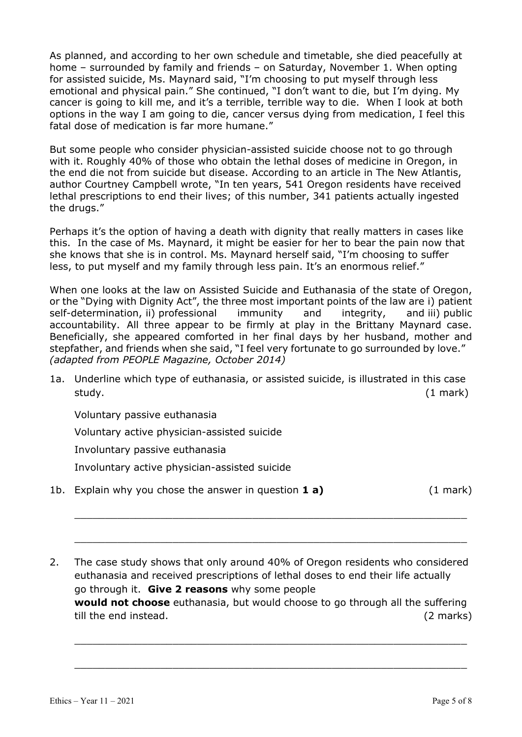As planned, and according to her own schedule and timetable, she died peacefully at home – surrounded by family and friends – on Saturday, November 1. When opting for assisted suicide, Ms. Maynard said, "I'm choosing to put myself through less emotional and physical pain." She continued, "I don't want to die, but I'm dying. My cancer is going to kill me, and it's a terrible, terrible way to die. When I look at both options in the way I am going to die, cancer versus dying from medication, I feel this fatal dose of medication is far more humane."

But some people who consider physician-assisted suicide choose not to go through with it. Roughly 40% of those who obtain the lethal doses of medicine in Oregon, in the end die not from suicide but disease. According to an article in The New Atlantis, author Courtney Campbell wrote, "In ten years, 541 Oregon residents have received lethal prescriptions to end their lives; of this number, 341 patients actually ingested the drugs."

Perhaps it's the option of having a death with dignity that really matters in cases like this. In the case of Ms. Maynard, it might be easier for her to bear the pain now that she knows that she is in control. Ms. Maynard herself said, "I'm choosing to suffer less, to put myself and my family through less pain. It's an enormous relief."

When one looks at the law on Assisted Suicide and Euthanasia of the state of Oregon, or the "Dying with Dignity Act", the three most important points of the law are i) patient self-determination, ii) professional immunity and integrity, and iii) public accountability. All three appear to be firmly at play in the Brittany Maynard case. Beneficially, she appeared comforted in her final days by her husband, mother and stepfather, and friends when she said, "I feel very fortunate to go surrounded by love." (adapted from PEOPLE Magazine, October 2014)

1a. Underline which type of euthanasia, or assisted suicide, is illustrated in this case study. (1 mark)

Voluntary passive euthanasia

Voluntary active physician-assisted suicide

Involuntary passive euthanasia

Involuntary active physician-assisted suicide

1b. Explain why you chose the answer in question  $\mathbf{1} \mathbf{a}$  (1 mark)  $(1 \text{ mark})$ 

2. The case study shows that only around 40% of Oregon residents who considered euthanasia and received prescriptions of lethal doses to end their life actually go through it. Give 2 reasons why some people would not choose euthanasia, but would choose to go through all the suffering till the end instead. (2 marks)

 $\_$  , and the contribution of the contribution of  $\mathcal{L}_\mathcal{A}$  , and the contribution of  $\mathcal{L}_\mathcal{A}$ 

 $\_$  , and the contribution of the contribution of  $\mathcal{L}_\mathcal{A}$  , and the contribution of  $\mathcal{L}_\mathcal{A}$ 

 $\_$  , and the contribution of the contribution of  $\mathcal{L}_\mathcal{A}$  , and the contribution of  $\mathcal{L}_\mathcal{A}$ 

 $\_$  , and the contribution of the contribution of  $\mathcal{L}_\mathcal{A}$  , and the contribution of  $\mathcal{L}_\mathcal{A}$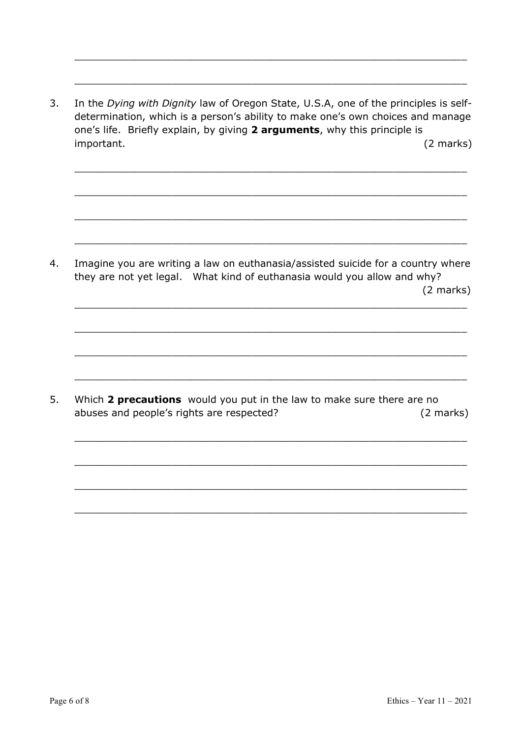3. In the Dying with Dignity law of Oregon State, U.S.A, one of the principles is selfdetermination, which is a person's ability to make one's own choices and manage one's life. Briefly explain, by giving 2 arguments, why this principle is important. (2 marks)

 $\_$  , and the contribution of the contribution of  $\mathcal{L}_\mathcal{A}$  , and the contribution of  $\mathcal{L}_\mathcal{A}$ 

\_\_\_\_\_\_\_\_\_\_\_\_\_\_\_\_\_\_\_\_\_\_\_\_\_\_\_\_\_\_\_\_\_\_\_\_\_\_\_\_\_\_\_\_\_\_\_\_\_\_\_\_\_\_\_\_\_\_\_\_\_\_\_\_

\_\_\_\_\_\_\_\_\_\_\_\_\_\_\_\_\_\_\_\_\_\_\_\_\_\_\_\_\_\_\_\_\_\_\_\_\_\_\_\_\_\_\_\_\_\_\_\_\_\_\_\_\_\_\_\_\_\_\_\_\_\_\_\_

\_\_\_\_\_\_\_\_\_\_\_\_\_\_\_\_\_\_\_\_\_\_\_\_\_\_\_\_\_\_\_\_\_\_\_\_\_\_\_\_\_\_\_\_\_\_\_\_\_\_\_\_\_\_\_\_\_\_\_\_\_\_\_\_

\_\_\_\_\_\_\_\_\_\_\_\_\_\_\_\_\_\_\_\_\_\_\_\_\_\_\_\_\_\_\_\_\_\_\_\_\_\_\_\_\_\_\_\_\_\_\_\_\_\_\_\_\_\_\_\_\_\_\_\_\_\_\_\_

\_\_\_\_\_\_\_\_\_\_\_\_\_\_\_\_\_\_\_\_\_\_\_\_\_\_\_\_\_\_\_\_\_\_\_\_\_\_\_\_\_\_\_\_\_\_\_\_\_\_\_\_\_\_\_\_\_\_\_\_\_\_\_\_

\_\_\_\_\_\_\_\_\_\_\_\_\_\_\_\_\_\_\_\_\_\_\_\_\_\_\_\_\_\_\_\_\_\_\_\_\_\_\_\_\_\_\_\_\_\_\_\_\_\_\_\_\_\_\_\_\_\_\_\_\_\_\_\_

\_\_\_\_\_\_\_\_\_\_\_\_\_\_\_\_\_\_\_\_\_\_\_\_\_\_\_\_\_\_\_\_\_\_\_\_\_\_\_\_\_\_\_\_\_\_\_\_\_\_\_\_\_\_\_\_\_\_\_\_\_\_\_\_

\_\_\_\_\_\_\_\_\_\_\_\_\_\_\_\_\_\_\_\_\_\_\_\_\_\_\_\_\_\_\_\_\_\_\_\_\_\_\_\_\_\_\_\_\_\_\_\_\_\_\_\_\_\_\_\_\_\_\_\_\_\_\_\_

\_\_\_\_\_\_\_\_\_\_\_\_\_\_\_\_\_\_\_\_\_\_\_\_\_\_\_\_\_\_\_\_\_\_\_\_\_\_\_\_\_\_\_\_\_\_\_\_\_\_\_\_\_\_\_\_\_\_\_\_\_\_\_\_

\_\_\_\_\_\_\_\_\_\_\_\_\_\_\_\_\_\_\_\_\_\_\_\_\_\_\_\_\_\_\_\_\_\_\_\_\_\_\_\_\_\_\_\_\_\_\_\_\_\_\_\_\_\_\_\_\_\_\_\_\_\_\_\_

 $\_$  , and the contribution of the contribution of  $\mathcal{L}_\mathcal{A}$  , and the contribution of  $\mathcal{L}_\mathcal{A}$ 

 $\_$  , and the contribution of the contribution of  $\mathcal{L}_\mathcal{A}$  , and the contribution of  $\mathcal{L}_\mathcal{A}$ 

 $\_$  , and the contribution of the contribution of  $\mathcal{L}_\mathcal{A}$  , and the contribution of  $\mathcal{L}_\mathcal{A}$ 

4. Imagine you are writing a law on euthanasia/assisted suicide for a country where they are not yet legal. What kind of euthanasia would you allow and why? (2 marks)

5. Which 2 precautions would you put in the law to make sure there are no abuses and people's rights are respected? (2 marks)